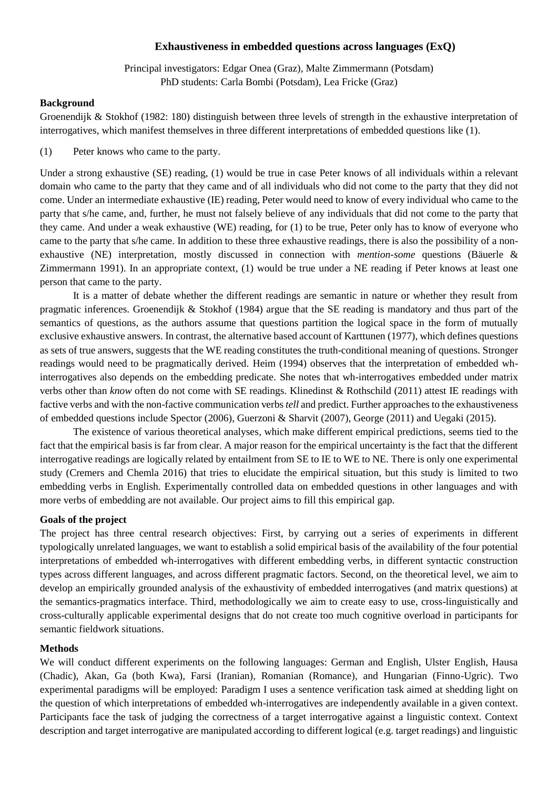## **Exhaustiveness in embedded questions across languages (ExQ)**

Principal investigators: Edgar Onea (Graz), Malte Zimmermann (Potsdam) PhD students: Carla Bombi (Potsdam), Lea Fricke (Graz)

## **Background**

Groenendijk & Stokhof (1982: 180) distinguish between three levels of strength in the exhaustive interpretation of interrogatives, which manifest themselves in three different interpretations of embedded questions like (1).

(1) Peter knows who came to the party.

Under a strong exhaustive (SE) reading, (1) would be true in case Peter knows of all individuals within a relevant domain who came to the party that they came and of all individuals who did not come to the party that they did not come. Under an intermediate exhaustive (IE) reading, Peter would need to know of every individual who came to the party that s/he came, and, further, he must not falsely believe of any individuals that did not come to the party that they came. And under a weak exhaustive (WE) reading, for (1) to be true, Peter only has to know of everyone who came to the party that s/he came. In addition to these three exhaustive readings, there is also the possibility of a nonexhaustive (NE) interpretation, mostly discussed in connection with *mention-some* questions (Bäuerle & Zimmermann 1991). In an appropriate context, (1) would be true under a NE reading if Peter knows at least one person that came to the party.

It is a matter of debate whether the different readings are semantic in nature or whether they result from pragmatic inferences. Groenendijk & Stokhof (1984) argue that the SE reading is mandatory and thus part of the semantics of questions, as the authors assume that questions partition the logical space in the form of mutually exclusive exhaustive answers. In contrast, the alternative based account of Karttunen (1977), which defines questions as sets of true answers, suggests that the WE reading constitutes the truth-conditional meaning of questions. Stronger readings would need to be pragmatically derived. Heim (1994) observes that the interpretation of embedded whinterrogatives also depends on the embedding predicate. She notes that wh-interrogatives embedded under matrix verbs other than *know* often do not come with SE readings. Klinedinst & Rothschild (2011) attest IE readings with factive verbs and with the non-factive communication verbs *tell* and predict. Further approaches to the exhaustiveness of embedded questions include Spector (2006), Guerzoni & Sharvit (2007), George (2011) and Uegaki (2015).

The existence of various theoretical analyses, which make different empirical predictions, seems tied to the fact that the empirical basis is far from clear. A major reason for the empirical uncertainty is the fact that the different interrogative readings are logically related by entailment from SE to IE to WE to NE. There is only one experimental study (Cremers and Chemla 2016) that tries to elucidate the empirical situation, but this study is limited to two embedding verbs in English. Experimentally controlled data on embedded questions in other languages and with more verbs of embedding are not available. Our project aims to fill this empirical gap.

## **Goals of the project**

The project has three central research objectives: First, by carrying out a series of experiments in different typologically unrelated languages, we want to establish a solid empirical basis of the availability of the four potential interpretations of embedded wh-interrogatives with different embedding verbs, in different syntactic construction types across different languages, and across different pragmatic factors. Second, on the theoretical level, we aim to develop an empirically grounded analysis of the exhaustivity of embedded interrogatives (and matrix questions) at the semantics-pragmatics interface. Third, methodologically we aim to create easy to use, cross-linguistically and cross-culturally applicable experimental designs that do not create too much cognitive overload in participants for semantic fieldwork situations.

## **Methods**

We will conduct different experiments on the following languages: German and English, Ulster English, Hausa (Chadic), Akan, Ga (both Kwa), Farsi (Iranian), Romanian (Romance), and Hungarian (Finno-Ugric). Two experimental paradigms will be employed: Paradigm I uses a sentence verification task aimed at shedding light on the question of which interpretations of embedded wh-interrogatives are independently available in a given context. Participants face the task of judging the correctness of a target interrogative against a linguistic context. Context description and target interrogative are manipulated according to different logical (e.g. target readings) and linguistic